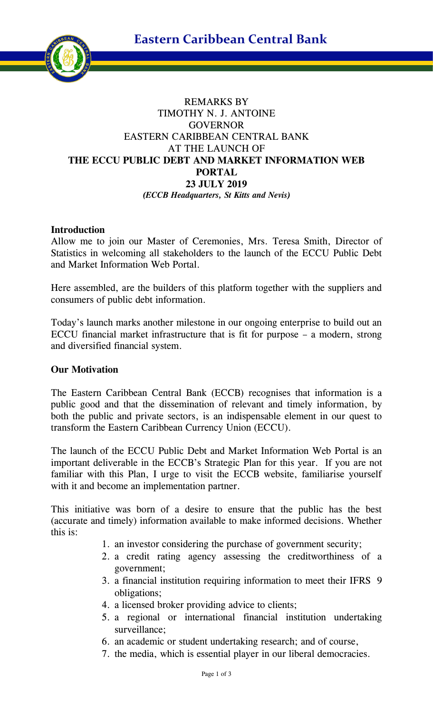**Eastern Caribbean Central Bank**



# REMARKS BY TIMOTHY N. J. ANTOINE **GOVERNOR** EASTERN CARIBBEAN CENTRAL BANK AT THE LAUNCH OF **THE ECCU PUBLIC DEBT AND MARKET INFORMATION WEB PORTAL 23 JULY 2019** *(ECCB Headquarters, St Kitts and Nevis)*

### **Introduction**

Allow me to join our Master of Ceremonies, Mrs. Teresa Smith, Director of Statistics in welcoming all stakeholders to the launch of the ECCU Public Debt and Market Information Web Portal.

Here assembled, are the builders of this platform together with the suppliers and consumers of public debt information.

Today's launch marks another milestone in our ongoing enterprise to build out an ECCU financial market infrastructure that is fit for purpose – a modern, strong and diversified financial system.

#### **Our Motivation**

The Eastern Caribbean Central Bank (ECCB) recognises that information is a public good and that the dissemination of relevant and timely information, by both the public and private sectors, is an indispensable element in our quest to transform the Eastern Caribbean Currency Union (ECCU).

The launch of the ECCU Public Debt and Market Information Web Portal is an important deliverable in the ECCB's Strategic Plan for this year. If you are not familiar with this Plan, I urge to visit the ECCB website, familiarise yourself with it and become an implementation partner.

This initiative was born of a desire to ensure that the public has the best (accurate and timely) information available to make informed decisions. Whether this is:

- 1. an investor considering the purchase of government security;
- 2. a credit rating agency assessing the creditworthiness of a government;
- 3. a financial institution requiring information to meet their IFRS 9 obligations;
- 4. a licensed broker providing advice to clients;
- 5. a regional or international financial institution undertaking surveillance;
- 6. an academic or student undertaking research; and of course,
- 7. the media, which is essential player in our liberal democracies.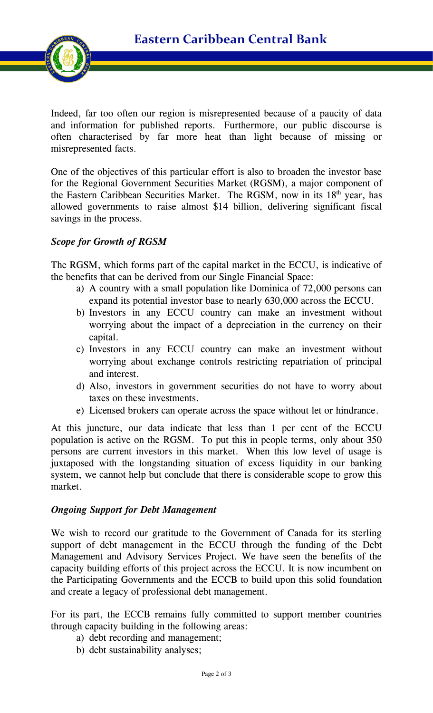**Eastern Caribbean Central Bank**



Indeed, far too often our region is misrepresented because of a paucity of data and information for published reports. Furthermore, our public discourse is often characterised by far more heat than light because of missing or misrepresented facts.

One of the objectives of this particular effort is also to broaden the investor base for the Regional Government Securities Market (RGSM), a major component of the Eastern Caribbean Securities Market. The RGSM, now in its 18<sup>th</sup> year, has allowed governments to raise almost \$14 billion, delivering significant fiscal savings in the process.

### *Scope for Growth of RGSM*

The RGSM, which forms part of the capital market in the ECCU, is indicative of the benefits that can be derived from our Single Financial Space:

- a) A country with a small population like Dominica of 72,000 persons can expand its potential investor base to nearly 630,000 across the ECCU.
- b) Investors in any ECCU country can make an investment without worrying about the impact of a depreciation in the currency on their capital.
- c) Investors in any ECCU country can make an investment without worrying about exchange controls restricting repatriation of principal and interest.
- d) Also, investors in government securities do not have to worry about taxes on these investments.
- e) Licensed brokers can operate across the space without let or hindrance.

At this juncture, our data indicate that less than 1 per cent of the ECCU population is active on the RGSM. To put this in people terms, only about 350 persons are current investors in this market. When this low level of usage is juxtaposed with the longstanding situation of excess liquidity in our banking system, we cannot help but conclude that there is considerable scope to grow this market.

## *Ongoing Support for Debt Management*

We wish to record our gratitude to the Government of Canada for its sterling support of debt management in the ECCU through the funding of the Debt Management and Advisory Services Project. We have seen the benefits of the capacity building efforts of this project across the ECCU. It is now incumbent on the Participating Governments and the ECCB to build upon this solid foundation and create a legacy of professional debt management.

For its part, the ECCB remains fully committed to support member countries through capacity building in the following areas:

- a) debt recording and management;
- b) debt sustainability analyses;